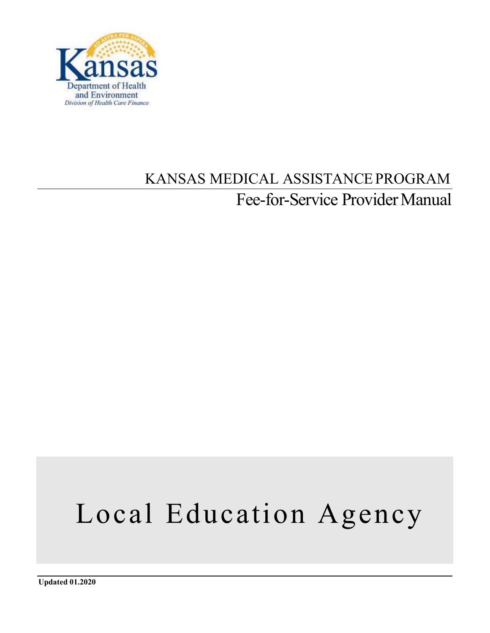

## KANSAS MEDICAL ASSISTANCEPROGRAM Fee-for-Service Provider Manual

# Local Education Agency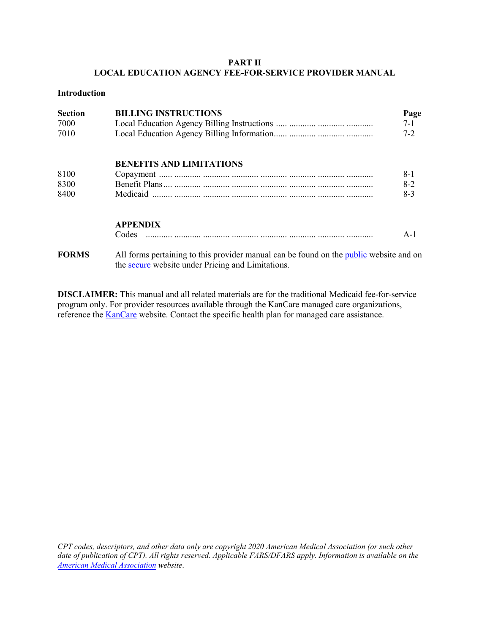#### **PART II LOCAL EDUCATION AGENCY FEE-FOR-SERVICE PROVIDER MANUAL**

#### **Introduction**

| <b>Section</b><br>7000<br>7010 | <b>BILLING INSTRUCTIONS</b>     | Page<br>$7 - 1$<br>$7-2$ |
|--------------------------------|---------------------------------|--------------------------|
|                                | <b>BENEFITS AND LIMITATIONS</b> |                          |
| 8100                           |                                 | 8-1                      |
| 8300                           |                                 | $8-2$                    |
| 8400                           |                                 | $8-3$                    |
|                                | <b>APPENDIX</b>                 |                          |
|                                | Codes                           | $A-1$                    |
|                                |                                 |                          |

**FORMS** All forms pertaining to this provider manual can be found on the *public* website and on the [secure](https://www.kmap-state-ks.us/provider/security/logon.asp) website under Pricing and Limitations.

**DISCLAIMER:** This manual and all related materials are for the traditional Medicaid fee-for-service program only. For provider resources available through the KanCare managed care organizations, reference the  $KanCare$  website. Contact the specific health plan for managed care assistance.

*CPT codes, descriptors, and other data only are copyright 2020 American Medical Association (or such other date of publication of CPT). All rights reserved. Applicable FARS/DFARS apply. Information is available on the [American Medical Association](http://www.ama-assn.org/) website*.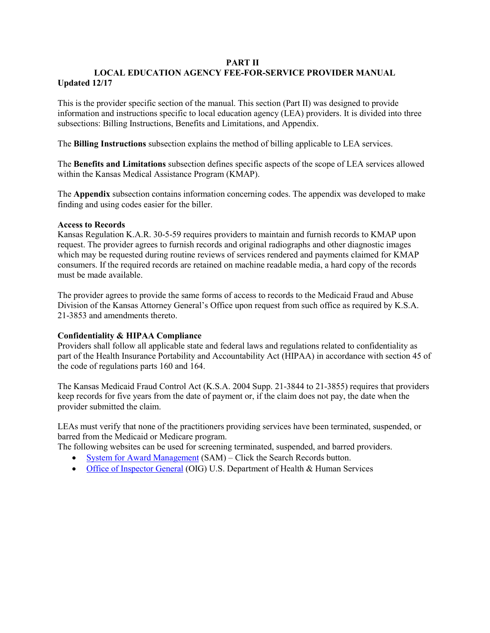#### **PART II**

#### **LOCAL EDUCATION AGENCY FEE-FOR-SERVICE PROVIDER MANUAL Updated 12/17**

This is the provider specific section of the manual. This section (Part II) was designed to provide information and instructions specific to local education agency (LEA) providers. It is divided into three subsections: Billing Instructions, Benefits and Limitations, and Appendix.

The **Billing Instructions** subsection explains the method of billing applicable to LEA services.

The **Benefits and Limitations** subsection defines specific aspects of the scope of LEA services allowed within the Kansas Medical Assistance Program (KMAP).

The **Appendix** subsection contains information concerning codes. The appendix was developed to make finding and using codes easier for the biller.

#### **Access to Records**

Kansas Regulation K.A.R. 30-5-59 requires providers to maintain and furnish records to KMAP upon request. The provider agrees to furnish records and original radiographs and other diagnostic images which may be requested during routine reviews of services rendered and payments claimed for KMAP consumers. If the required records are retained on machine readable media, a hard copy of the records must be made available.

The provider agrees to provide the same forms of access to records to the Medicaid Fraud and Abuse Division of the Kansas Attorney General's Office upon request from such office as required by K.S.A. 21-3853 and amendments thereto.

#### **Confidentiality & HIPAA Compliance**

Providers shall follow all applicable state and federal laws and regulations related to confidentiality as part of the Health Insurance Portability and Accountability Act (HIPAA) in accordance with section 45 of the code of regulations parts 160 and 164.

The Kansas Medicaid Fraud Control Act (K.S.A. 2004 Supp. 21-3844 to 21-3855) requires that providers keep records for five years from the date of payment or, if the claim does not pay, the date when the provider submitted the claim.

LEAs must verify that none of the practitioners providing services have been terminated, suspended, or barred from the Medicaid or Medicare program.

The following websites can be used for screening terminated, suspended, and barred providers.

- [System for Award Management](https://www.sam.gov/portal/SAM/) (SAM) Click the Search Records button.
- [Office of Inspector General](https://exclusions.oig.hhs.gov/) (OIG) U.S. Department of Health & Human Services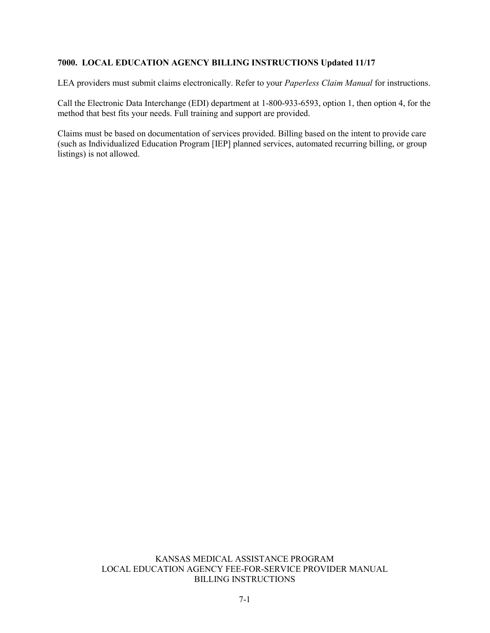#### **7000. LOCAL EDUCATION AGENCY BILLING INSTRUCTIONS Updated 11/17**

LEA providers must submit claims electronically. Refer to your *Paperless Claim Manual* for instructions.

Call the Electronic Data Interchange (EDI) department at 1-800-933-6593, option 1, then option 4, for the method that best fits your needs. Full training and support are provided.

Claims must be based on documentation of services provided. Billing based on the intent to provide care (such as Individualized Education Program [IEP] planned services, automated recurring billing, or group listings) is not allowed.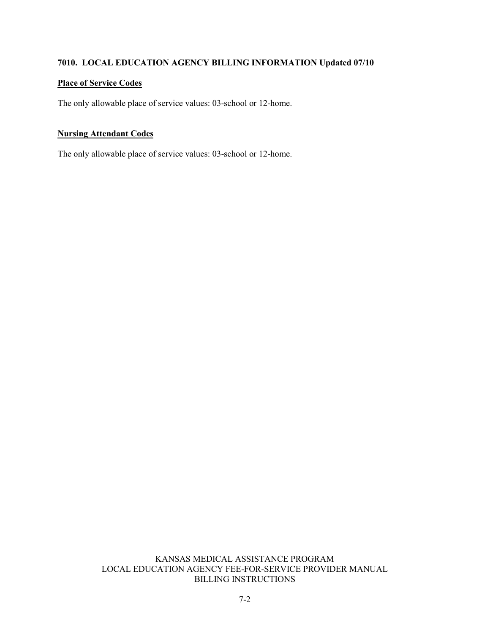#### **7010. LOCAL EDUCATION AGENCY BILLING INFORMATION Updated 07/10**

#### **Place of Service Codes**

The only allowable place of service values: 03-school or 12-home.

#### **Nursing Attendant Codes**

The only allowable place of service values: 03-school or 12-home.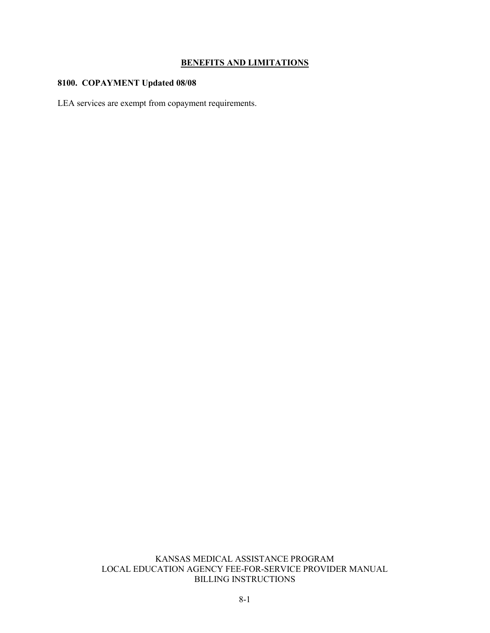#### **BENEFITS AND LIMITATIONS**

#### **8100. COPAYMENT Updated 08/08**

LEA services are exempt from copayment requirements.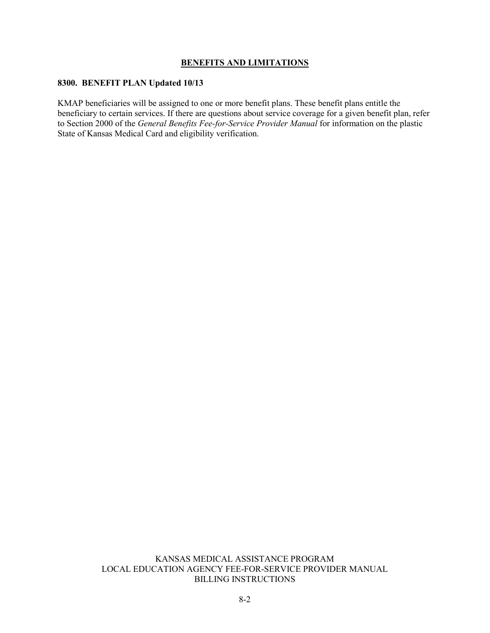#### **BENEFITS AND LIMITATIONS**

#### **8300. BENEFIT PLAN Updated 10/13**

KMAP beneficiaries will be assigned to one or more benefit plans. These benefit plans entitle the beneficiary to certain services. If there are questions about service coverage for a given benefit plan, refer to Section 2000 of the *General Benefits Fee-for-Service Provider Manual* for information on the plastic State of Kansas Medical Card and eligibility verification.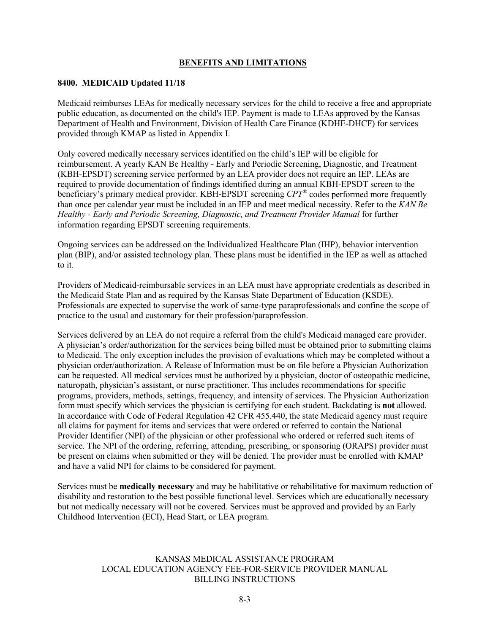#### **BENEFITS AND LIMITATIONS**

#### **8400. MEDICAID Updated 11/18**

Medicaid reimburses LEAs for medically necessary services for the child to receive a free and appropriate public education, as documented on the child's IEP. Payment is made to LEAs approved by the Kansas Department of Health and Environment, Division of Health Care Finance (KDHE-DHCF) for services provided through KMAP as listed in Appendix I.

Only covered medically necessary services identified on the child's IEP will be eligible for reimbursement. A yearly KAN Be Healthy - Early and Periodic Screening, Diagnostic, and Treatment (KBH-EPSDT) screening service performed by an LEA provider does not require an IEP. LEAs are required to provide documentation of findings identified during an annual KBH-EPSDT screen to the beneficiary's primary medical provider. KBH-EPSDT screening *CPT®* codes performed more frequently than once per calendar year must be included in an IEP and meet medical necessity. Refer to the *KAN Be Healthy - Early and Periodic Screening, Diagnostic, and Treatment Provider Manual* for further information regarding EPSDT screening requirements.

Ongoing services can be addressed on the Individualized Healthcare Plan (IHP), behavior intervention plan (BIP), and/or assisted technology plan. These plans must be identified in the IEP as well as attached to it.

Providers of Medicaid-reimbursable services in an LEA must have appropriate credentials as described in the Medicaid State Plan and as required by the Kansas State Department of Education (KSDE). Professionals are expected to supervise the work of same-type paraprofessionals and confine the scope of practice to the usual and customary for their profession/paraprofession.

Services delivered by an LEA do not require a referral from the child's Medicaid managed care provider. A physician's order/authorization for the services being billed must be obtained prior to submitting claims to Medicaid. The only exception includes the provision of evaluations which may be completed without a physician order/authorization. A Release of Information must be on file before a Physician Authorization can be requested. All medical services must be authorized by a physician, doctor of osteopathic medicine, naturopath, physician's assistant, or nurse practitioner. This includes recommendations for specific programs, providers, methods, settings, frequency, and intensity of services. The Physician Authorization form must specify which services the physician is certifying for each student. Backdating is **not** allowed. In accordance with Code of Federal Regulation 42 CFR 455.440, the state Medicaid agency must require all claims for payment for items and services that were ordered or referred to contain the National Provider Identifier (NPI) of the physician or other professional who ordered or referred such items of service. The NPI of the ordering, referring, attending, prescribing, or sponsoring (ORAPS) provider must be present on claims when submitted or they will be denied. The provider must be enrolled with KMAP and have a valid NPI for claims to be considered for payment.

Services must be **medically necessary** and may be habilitative or rehabilitative for maximum reduction of disability and restoration to the best possible functional level. Services which are educationally necessary but not medically necessary will not be covered. Services must be approved and provided by an Early Childhood Intervention (ECI), Head Start, or LEA program.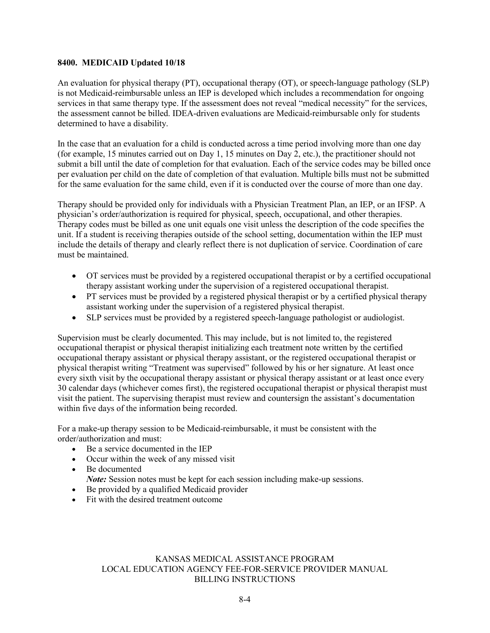#### **8400. MEDICAID Updated 10/18**

An evaluation for physical therapy (PT), occupational therapy (OT), or speech-language pathology (SLP) is not Medicaid-reimbursable unless an IEP is developed which includes a recommendation for ongoing services in that same therapy type. If the assessment does not reveal "medical necessity" for the services, the assessment cannot be billed. IDEA-driven evaluations are Medicaid-reimbursable only for students determined to have a disability.

In the case that an evaluation for a child is conducted across a time period involving more than one day (for example, 15 minutes carried out on Day 1, 15 minutes on Day 2, etc.), the practitioner should not submit a bill until the date of completion for that evaluation. Each of the service codes may be billed once per evaluation per child on the date of completion of that evaluation. Multiple bills must not be submitted for the same evaluation for the same child, even if it is conducted over the course of more than one day.

Therapy should be provided only for individuals with a Physician Treatment Plan, an IEP, or an IFSP. A physician's order/authorization is required for physical, speech, occupational, and other therapies. Therapy codes must be billed as one unit equals one visit unless the description of the code specifies the unit. If a student is receiving therapies outside of the school setting, documentation within the IEP must include the details of therapy and clearly reflect there is not duplication of service. Coordination of care must be maintained.

- OT services must be provided by a registered occupational therapist or by a certified occupational therapy assistant working under the supervision of a registered occupational therapist.
- PT services must be provided by a registered physical therapist or by a certified physical therapy assistant working under the supervision of a registered physical therapist.
- SLP services must be provided by a registered speech-language pathologist or audiologist.

Supervision must be clearly documented. This may include, but is not limited to, the registered occupational therapist or physical therapist initializing each treatment note written by the certified occupational therapy assistant or physical therapy assistant, or the registered occupational therapist or physical therapist writing "Treatment was supervised" followed by his or her signature. At least once every sixth visit by the occupational therapy assistant or physical therapy assistant or at least once every 30 calendar days (whichever comes first), the registered occupational therapist or physical therapist must visit the patient. The supervising therapist must review and countersign the assistant's documentation within five days of the information being recorded.

For a make-up therapy session to be Medicaid-reimbursable, it must be consistent with the order/authorization and must:

- Be a service documented in the IEP
- Occur within the week of any missed visit
- Be documented *Note:* Session notes must be kept for each session including make-up sessions.
- Be provided by a qualified Medicaid provider
- Fit with the desired treatment outcome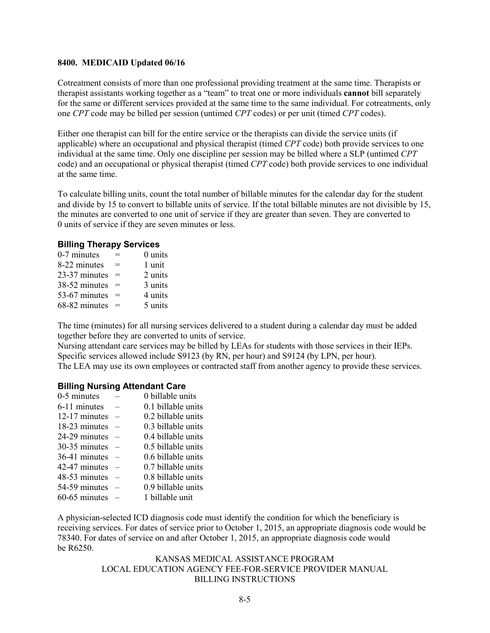#### **8400. MEDICAID Updated 06/16**

Cotreatment consists of more than one professional providing treatment at the same time. Therapists or therapist assistants working together as a "team" to treat one or more individuals **cannot** bill separately for the same or different services provided at the same time to the same individual. For cotreatments, only one *CPT* code may be billed per session (untimed *CPT* codes) or per unit (timed *CPT* codes).

Either one therapist can bill for the entire service or the therapists can divide the service units (if applicable) where an occupational and physical therapist (timed *CPT* code) both provide services to one individual at the same time. Only one discipline per session may be billed where a SLP (untimed *CPT* code) and an occupational or physical therapist (timed *CPT* code) both provide services to one individual at the same time.

To calculate billing units, count the total number of billable minutes for the calendar day for the student and divide by 15 to convert to billable units of service. If the total billable minutes are not divisible by 15, the minutes are converted to one unit of service if they are greater than seven. They are converted to 0 units of service if they are seven minutes or less.

#### **Billing Therapy Services**

| $=$ | $0$ units |
|-----|-----------|
| $=$ | 1 unit    |
| $=$ | 2 units   |
| $=$ | 3 units   |
| $=$ | 4 units   |
| $=$ | 5 units   |
|     |           |

The time (minutes) for all nursing services delivered to a student during a calendar day must be added together before they are converted to units of service.

Nursing attendant care services may be billed by LEAs for students with those services in their IEPs. Specific services allowed include S9123 (by RN, per hour) and S9124 (by LPN, per hour).

The LEA may use its own employees or contracted staff from another agency to provide these services.

#### **Billing Nursing Attendant Care**

| 0-5 minutes         | 0 billable units   |
|---------------------|--------------------|
| 6-11 minutes        | 0.1 billable units |
| 12-17 minutes       | 0.2 billable units |
| 18-23 minutes       | 0.3 billable units |
| 24-29 minutes       | 0.4 billable units |
| $30-35$ minutes $-$ | 0.5 billable units |
| $36-41$ minutes $-$ | 0.6 billable units |
| 42-47 minutes       | 0.7 billable units |
| $48-53$ minutes $-$ | 0.8 billable units |
| $54-59$ minutes $-$ | 0.9 billable units |
| $60-65$ minutes $-$ | 1 billable unit    |
|                     |                    |

A physician-selected ICD diagnosis code must identify the condition for which the beneficiary is receiving services. For dates of service prior to October 1, 2015, an appropriate diagnosis code would be 78340. For dates of service on and after October 1, 2015, an appropriate diagnosis code would be R6250.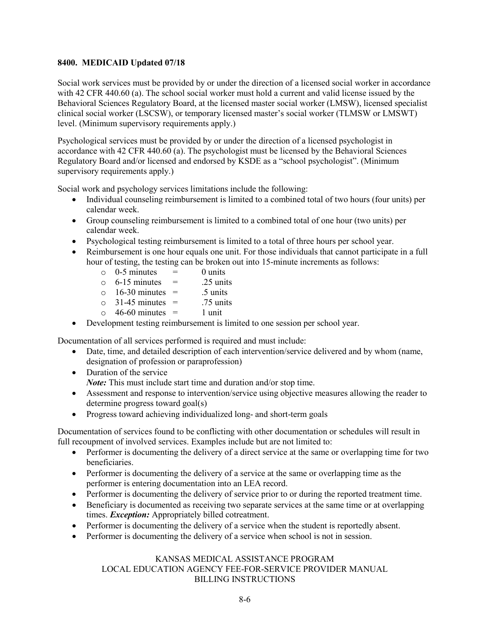#### **8400. MEDICAID Updated 07/18**

Social work services must be provided by or under the direction of a licensed social worker in accordance with 42 CFR 440.60 (a). The school social worker must hold a current and valid license issued by the Behavioral Sciences Regulatory Board, at the licensed master social worker (LMSW), licensed specialist clinical social worker (LSCSW), or temporary licensed master's social worker (TLMSW or LMSWT) level. (Minimum supervisory requirements apply.)

Psychological services must be provided by or under the direction of a licensed psychologist in accordance with 42 CFR 440.60 (a). The psychologist must be licensed by the Behavioral Sciences Regulatory Board and/or licensed and endorsed by KSDE as a "school psychologist". (Minimum supervisory requirements apply.)

Social work and psychology services limitations include the following:

- Individual counseling reimbursement is limited to a combined total of two hours (four units) per calendar week.
- Group counseling reimbursement is limited to a combined total of one hour (two units) per calendar week.
- Psychological testing reimbursement is limited to a total of three hours per school year.
- Reimbursement is one hour equals one unit. For those individuals that cannot participate in a full hour of testing, the testing can be broken out into 15-minute increments as follows:

| $\cap$  | 0-5 minutes         | 0 units   |
|---------|---------------------|-----------|
| $\circ$ | 6-15 minutes        | .25 units |
| $\cap$  | $16-30$ minutes $=$ | .5 units  |
| $\cap$  | $31-45$ minutes $=$ | .75 units |
|         | $\sqrt{1-\epsilon}$ |           |

- $\circ$  46-60 minutes = 1 unit
- Development testing reimbursement is limited to one session per school year.

Documentation of all services performed is required and must include:

- Date, time, and detailed description of each intervention/service delivered and by whom (name, designation of profession or paraprofession)
- Duration of the service

*Note:* This must include start time and duration and/or stop time.

- Assessment and response to intervention/service using objective measures allowing the reader to determine progress toward goal(s)
- Progress toward achieving individualized long- and short-term goals

Documentation of services found to be conflicting with other documentation or schedules will result in full recoupment of involved services. Examples include but are not limited to:

- Performer is documenting the delivery of a direct service at the same or overlapping time for two beneficiaries.
- Performer is documenting the delivery of a service at the same or overlapping time as the performer is entering documentation into an LEA record.
- Performer is documenting the delivery of service prior to or during the reported treatment time.
- Beneficiary is documented as receiving two separate services at the same time or at overlapping times. *Exception:* Appropriately billed cotreatment.
- Performer is documenting the delivery of a service when the student is reportedly absent.
- Performer is documenting the delivery of a service when school is not in session.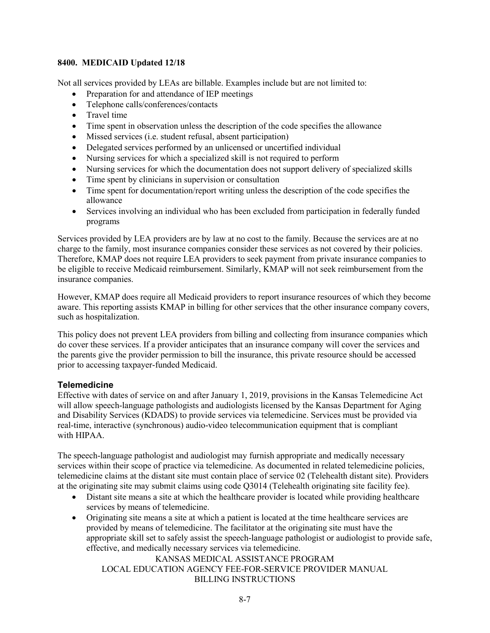#### **8400. MEDICAID Updated 12/18**

Not all services provided by LEAs are billable. Examples include but are not limited to:

- Preparation for and attendance of IEP meetings
- Telephone calls/conferences/contacts
- Travel time
- Time spent in observation unless the description of the code specifies the allowance
- Missed services (i.e. student refusal, absent participation)
- Delegated services performed by an unlicensed or uncertified individual
- Nursing services for which a specialized skill is not required to perform
- Nursing services for which the documentation does not support delivery of specialized skills
- Time spent by clinicians in supervision or consultation
- Time spent for documentation/report writing unless the description of the code specifies the allowance
- Services involving an individual who has been excluded from participation in federally funded programs

Services provided by LEA providers are by law at no cost to the family. Because the services are at no charge to the family, most insurance companies consider these services as not covered by their policies. Therefore, KMAP does not require LEA providers to seek payment from private insurance companies to be eligible to receive Medicaid reimbursement. Similarly, KMAP will not seek reimbursement from the insurance companies.

However, KMAP does require all Medicaid providers to report insurance resources of which they become aware. This reporting assists KMAP in billing for other services that the other insurance company covers, such as hospitalization.

This policy does not prevent LEA providers from billing and collecting from insurance companies which do cover these services. If a provider anticipates that an insurance company will cover the services and the parents give the provider permission to bill the insurance, this private resource should be accessed prior to accessing taxpayer-funded Medicaid.

#### **Telemedicine**

Effective with dates of service on and after January 1, 2019, provisions in the Kansas Telemedicine Act will allow speech-language pathologists and audiologists licensed by the Kansas Department for Aging and Disability Services (KDADS) to provide services via telemedicine. Services must be provided via real-time, interactive (synchronous) audio-video telecommunication equipment that is compliant with HIPAA.

The speech-language pathologist and audiologist may furnish appropriate and medically necessary services within their scope of practice via telemedicine. As documented in related telemedicine policies, telemedicine claims at the distant site must contain place of service 02 (Telehealth distant site). Providers at the originating site may submit claims using code Q3014 (Telehealth originating site facility fee).

- Distant site means a site at which the healthcare provider is located while providing healthcare services by means of telemedicine.
- Originating site means a site at which a patient is located at the time healthcare services are provided by means of telemedicine. The facilitator at the originating site must have the appropriate skill set to safely assist the speech-language pathologist or audiologist to provide safe, effective, and medically necessary services via telemedicine.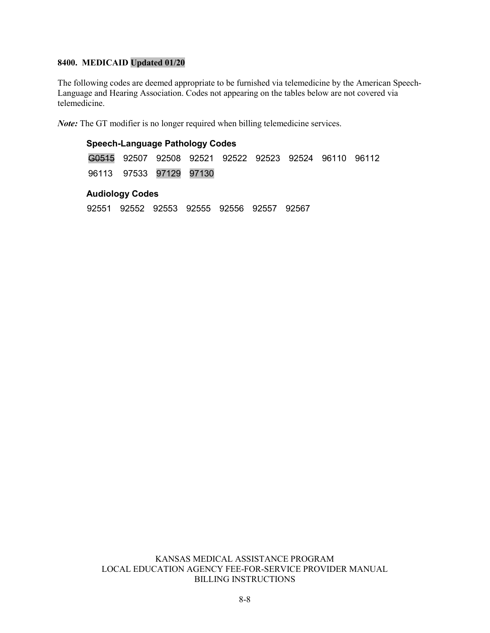#### **8400. MEDICAID Updated 01/20**

The following codes are deemed appropriate to be furnished via telemedicine by the American Speech-Language and Hearing Association. Codes not appearing on the tables below are not covered via telemedicine.

*Note:* The GT modifier is no longer required when billing telemedicine services.

### **Speech-Language Pathology Codes** G0515 92507 92508 92521 92522 92523 92524 96110 96112 96113 97533 97129 97130 **Audiology Codes** 92551 92552 92553 92555 92556 92557 92567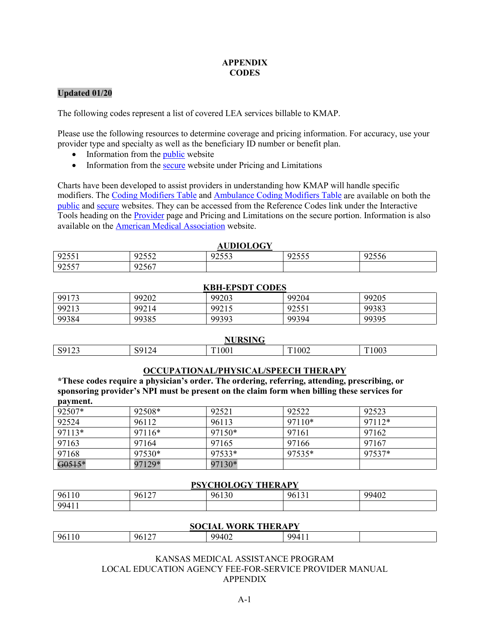#### **APPENDIX CODES**

#### **Updated 01/20**

The following codes represent a list of covered LEA services billable to KMAP.

Please use the following resources to determine coverage and pricing information. For accuracy, use your provider type and specialty as well as the beneficiary ID number or benefit plan.

- Information from the [public](https://www.kmap-state-ks.us/Provider/PRICING/RefCode.asp) website
- Information from the [secure](https://www.kmap-state-ks.us/provider/security/logon.asp) website under Pricing and Limitations

Charts have been developed to assist providers in understanding how KMAP will handle specific modifiers. The [Coding Modifiers Table](https://www.kmap-state-ks.us/Provider/PRICING/CodingModifiers.asp) and [Ambulance Coding Modifiers Table](https://www.kmap-state-ks.us/Provider/PRICING/AmbulanceCodingModifiers.asp) are available on both the [public](https://www.kmap-state-ks.us/Provider/PRICING/RefCode.asp) and [secure](http://extranet.ksxix.hcg.eds.com/state/security/logon.asp) websites. They can be accessed from the Reference Codes link under the Interactive Tools heading on the [Provider](https://www.kmap-state-ks.us/Public/provider.asp) page and Pricing and Limitations on the secure portion. Information is also available on the [American Medical Association](http://www.ama-assn.org/) website.

#### **AUDIOLOGY**

| 02551<br>1 U U U      | $\Omega$ $\Omega$<br>◡<br>ے بے ب | 0.255<br>ر ر ب | 0.255<br>ر ريد | $\bigcap_{n\in\mathbb{N}}$<br>0 ل 2 م |
|-----------------------|----------------------------------|----------------|----------------|---------------------------------------|
| 02557<br>ں <i>ں س</i> | $\sim$<br>925<br>250.            |                |                |                                       |

#### **KBH-EPSDT CODES**

| 99173 | 99202 | 99203 | 99204 | 99205 |  |  |
|-------|-------|-------|-------|-------|--|--|
| 99213 | 99214 | 99215 | 92551 | 99383 |  |  |
| 99384 | 99385 | 99393 | 99394 | 99395 |  |  |

| <b>NURSING</b>                |       |                        |                        |       |  |
|-------------------------------|-------|------------------------|------------------------|-------|--|
| $S912^{\circ}$<br>خاصا<br>14J | S9124 | 1001<br>T <sub>1</sub> | 1002<br>T <sub>1</sub> | T1003 |  |

#### **OCCUPATIONAL/PHYSICAL/SPEECH THERAPY**

**\*These codes require a physician's order. The ordering, referring, attending, prescribing, or sponsoring provider's NPI must be present on the claim form when billing these services for payment.**

| 92507* | 92508* | 92521  | 92522  | 92523  |
|--------|--------|--------|--------|--------|
| 92524  | 96112  | 96113  | 97110* | 97112* |
| 97113* | 97116* | 97150* | 97161  | 97162  |
| 97163  | 97164  | 97165  | 97166  | 97167  |
| 97168  | 97530* | 97533* | 97535* | 97537* |
| G0515* | 97129* | 97130* |        |        |

#### **PSYCHOLOGY THERAPY**

| 96110            | $-96127$ | 1.20<br>$0\epsilon$<br>' 1 J V | 96131<br><u>v 191</u> | 99402<br>ℸ∪∠ |
|------------------|----------|--------------------------------|-----------------------|--------------|
| $-9941$<br>T 1 1 |          |                                |                       |              |

| <b>WORK</b><br><b>THERAPY</b><br><b>SOCIAL</b> |                                |       |           |  |  |
|------------------------------------------------|--------------------------------|-------|-----------|--|--|
| 96110                                          | $1 \wedge \neg$<br>ዐհ<br>$v_1$ | 99402 | 9941<br>. |  |  |

#### KANSAS MEDICAL ASSISTANCE PROGRAM LOCAL EDUCATION AGENCY FEE-FOR-SERVICE PROVIDER MANUAL APPENDIX